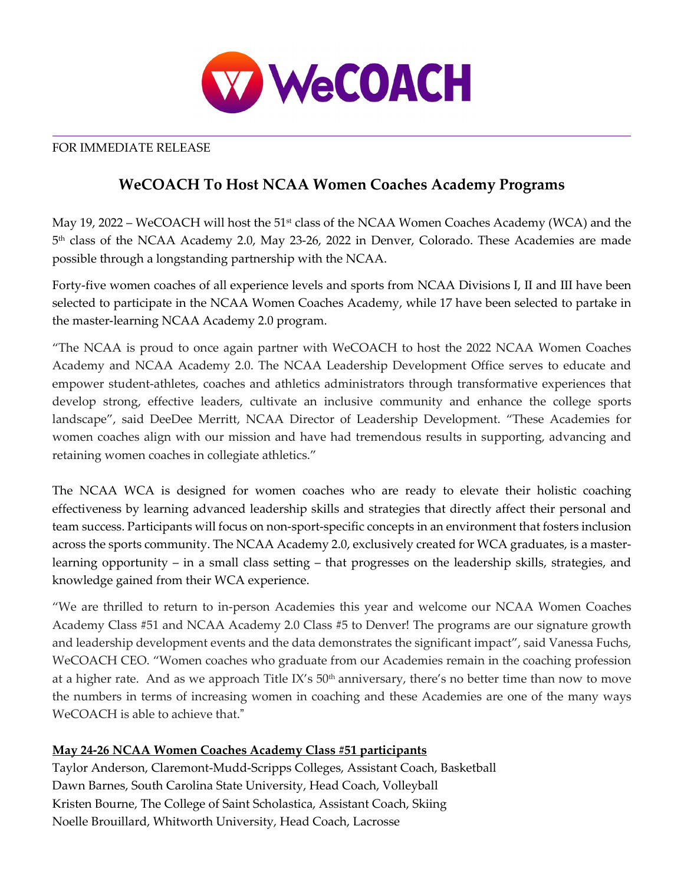

### FOR IMMEDIATE RELEASE

# **WeCOACH To Host NCAA Women Coaches Academy Programs**

May 19, 2022 – WeCOACH will host the  $51<sup>st</sup>$  class of the NCAA Women Coaches Academy (WCA) and the 5th class of the NCAA Academy 2.0, May 23-26, 2022 in Denver, Colorado. These Academies are made possible through a longstanding partnership with the NCAA.

Forty-five women coaches of all experience levels and sports from NCAA Divisions I, II and III have been selected to participate in the NCAA Women Coaches Academy, while 17 have been selected to partake in the master-learning NCAA Academy 2.0 program.

"The NCAA is proud to once again partner with WeCOACH to host the 2022 NCAA Women Coaches Academy and NCAA Academy 2.0. The NCAA Leadership Development Office serves to educate and empower student-athletes, coaches and athletics administrators through transformative experiences that develop strong, effective leaders, cultivate an inclusive community and enhance the college sports landscape", said DeeDee Merritt, NCAA Director of Leadership Development. "These Academies for women coaches align with our mission and have had tremendous results in supporting, advancing and retaining women coaches in collegiate athletics."

The NCAA WCA is designed for women coaches who are ready to elevate their holistic coaching effectiveness by learning advanced leadership skills and strategies that directly affect their personal and team success. Participants will focus on non-sport-specific concepts in an environment that fosters inclusion across the sports community. The NCAA Academy 2.0, exclusively created for WCA graduates, is a masterlearning opportunity – in a small class setting – that progresses on the leadership skills, strategies, and knowledge gained from their WCA experience.

"We are thrilled to return to in-person Academies this year and welcome our NCAA Women Coaches Academy Class #51 and NCAA Academy 2.0 Class #5 to Denver! The programs are our signature growth and leadership development events and the data demonstrates the significant impact", said Vanessa Fuchs, WeCOACH CEO. "Women coaches who graduate from our Academies remain in the coaching profession at a higher rate. And as we approach Title IX's  $50<sup>th</sup>$  anniversary, there's no better time than now to move the numbers in terms of increasing women in coaching and these Academies are one of the many ways WeCOACH is able to achieve that."

## **May 24-26 NCAA Women Coaches Academy Class #51 participants**

Taylor Anderson, Claremont-Mudd-Scripps Colleges, Assistant Coach, Basketball Dawn Barnes, South Carolina State University, Head Coach, Volleyball Kristen Bourne, The College of Saint Scholastica, Assistant Coach, Skiing Noelle Brouillard, Whitworth University, Head Coach, Lacrosse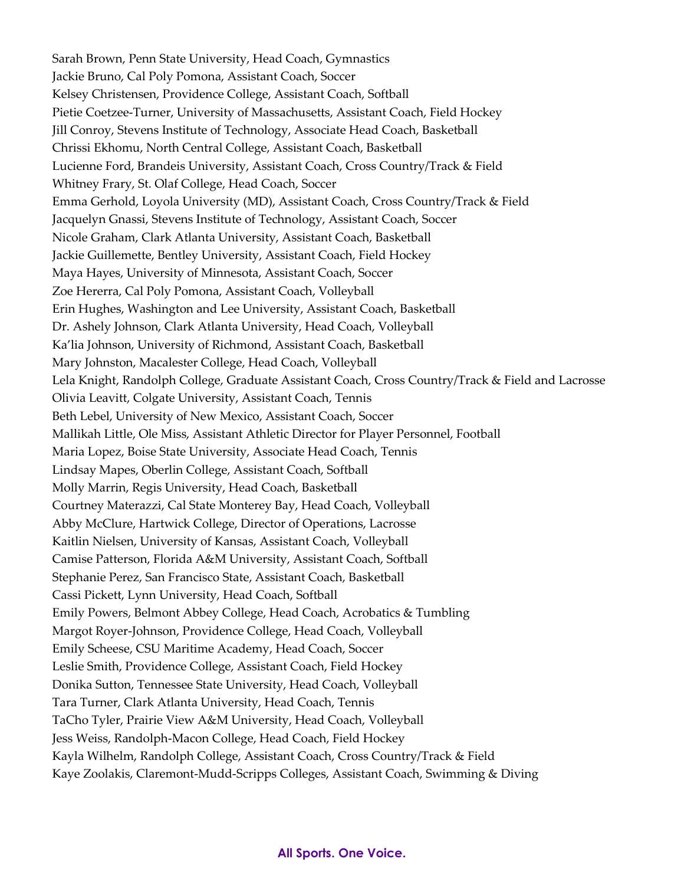Sarah Brown, Penn State University, Head Coach, Gymnastics Jackie Bruno, Cal Poly Pomona, Assistant Coach, Soccer Kelsey Christensen, Providence College, Assistant Coach, Softball Pietie Coetzee-Turner, University of Massachusetts, Assistant Coach, Field Hockey Jill Conroy, Stevens Institute of Technology, Associate Head Coach, Basketball Chrissi Ekhomu, North Central College, Assistant Coach, Basketball Lucienne Ford, Brandeis University, Assistant Coach, Cross Country/Track & Field Whitney Frary, St. Olaf College, Head Coach, Soccer Emma Gerhold, Loyola University (MD), Assistant Coach, Cross Country/Track & Field Jacquelyn Gnassi, Stevens Institute of Technology, Assistant Coach, Soccer Nicole Graham, Clark Atlanta University, Assistant Coach, Basketball Jackie Guillemette, Bentley University, Assistant Coach, Field Hockey Maya Hayes, University of Minnesota, Assistant Coach, Soccer Zoe Hererra, Cal Poly Pomona, Assistant Coach, Volleyball Erin Hughes, Washington and Lee University, Assistant Coach, Basketball Dr. Ashely Johnson, Clark Atlanta University, Head Coach, Volleyball Ka'lia Johnson, University of Richmond, Assistant Coach, Basketball Mary Johnston, Macalester College, Head Coach, Volleyball Lela Knight, Randolph College, Graduate Assistant Coach, Cross Country/Track & Field and Lacrosse Olivia Leavitt, Colgate University, Assistant Coach, Tennis Beth Lebel, University of New Mexico, Assistant Coach, Soccer Mallikah Little, Ole Miss, Assistant Athletic Director for Player Personnel, Football Maria Lopez, Boise State University, Associate Head Coach, Tennis Lindsay Mapes, Oberlin College, Assistant Coach, Softball Molly Marrin, Regis University, Head Coach, Basketball Courtney Materazzi, Cal State Monterey Bay, Head Coach, Volleyball Abby McClure, Hartwick College, Director of Operations, Lacrosse Kaitlin Nielsen, University of Kansas, Assistant Coach, Volleyball Camise Patterson, Florida A&M University, Assistant Coach, Softball Stephanie Perez, San Francisco State, Assistant Coach, Basketball Cassi Pickett, Lynn University, Head Coach, Softball Emily Powers, Belmont Abbey College, Head Coach, Acrobatics & Tumbling Margot Royer-Johnson, Providence College, Head Coach, Volleyball Emily Scheese, CSU Maritime Academy, Head Coach, Soccer Leslie Smith, Providence College, Assistant Coach, Field Hockey Donika Sutton, Tennessee State University, Head Coach, Volleyball Tara Turner, Clark Atlanta University, Head Coach, Tennis TaCho Tyler, Prairie View A&M University, Head Coach, Volleyball Jess Weiss, Randolph-Macon College, Head Coach, Field Hockey Kayla Wilhelm, Randolph College, Assistant Coach, Cross Country/Track & Field Kaye Zoolakis, Claremont-Mudd-Scripps Colleges, Assistant Coach, Swimming & Diving

#### **All Sports. One Voice.**